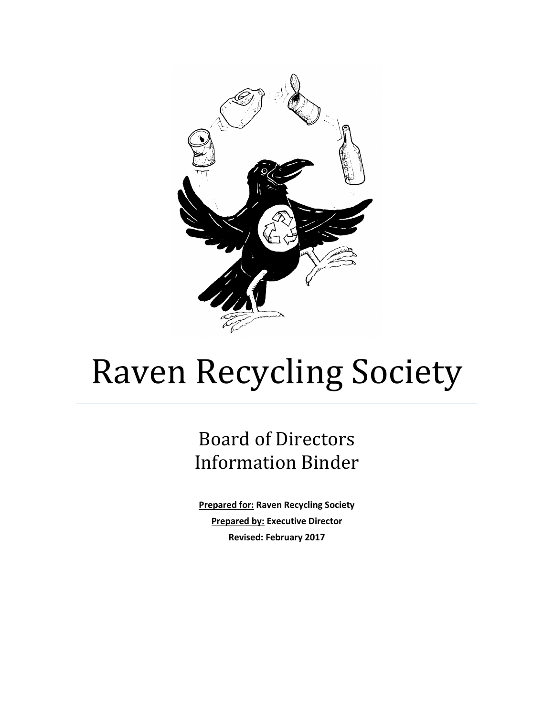

# Raven Recycling Society

# Board of Directors Information Binder

**Prepared for: Raven Recycling Society Prepared by: Executive Director Revised: February 2017**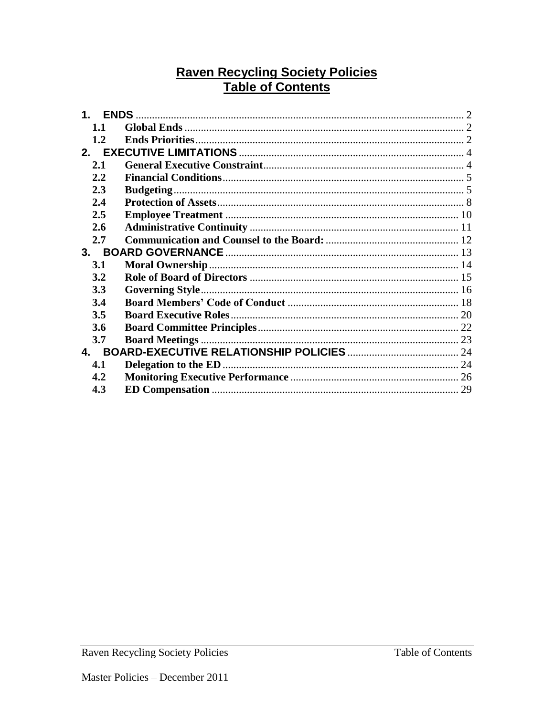# **Raven Recycling Society Policies Table of Contents**

| 1.1 |  |  |  |  |
|-----|--|--|--|--|
| 1.2 |  |  |  |  |
|     |  |  |  |  |
| 2.1 |  |  |  |  |
| 2.2 |  |  |  |  |
| 2.3 |  |  |  |  |
| 2.4 |  |  |  |  |
| 2.5 |  |  |  |  |
| 2.6 |  |  |  |  |
| 2.7 |  |  |  |  |
| 3.  |  |  |  |  |
| 3.1 |  |  |  |  |
| 3.2 |  |  |  |  |
| 3.3 |  |  |  |  |
| 3.4 |  |  |  |  |
| 3.5 |  |  |  |  |
| 3.6 |  |  |  |  |
| 3.7 |  |  |  |  |
| 4.  |  |  |  |  |
| 4.1 |  |  |  |  |
| 4.2 |  |  |  |  |
| 4.3 |  |  |  |  |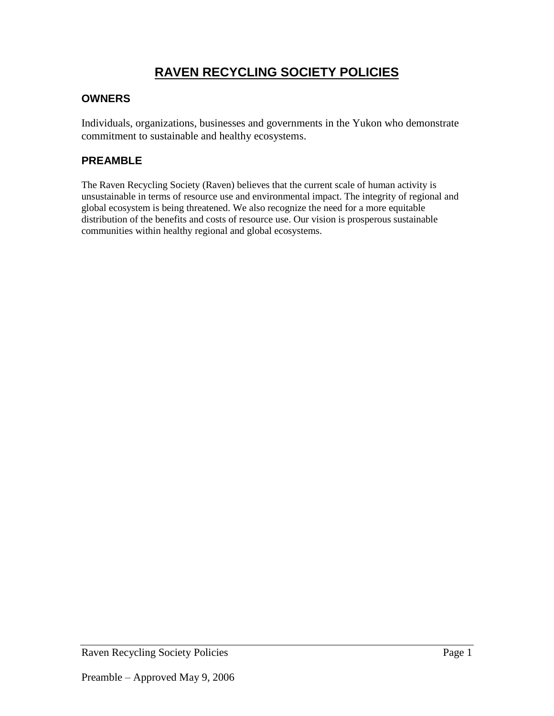# **RAVEN RECYCLING SOCIETY POLICIES**

# **OWNERS**

Individuals, organizations, businesses and governments in the Yukon who demonstrate commitment to sustainable and healthy ecosystems.

# **PREAMBLE**

The Raven Recycling Society (Raven) believes that the current scale of human activity is unsustainable in terms of resource use and environmental impact. The integrity of regional and global ecosystem is being threatened. We also recognize the need for a more equitable distribution of the benefits and costs of resource use. Our vision is prosperous sustainable communities within healthy regional and global ecosystems.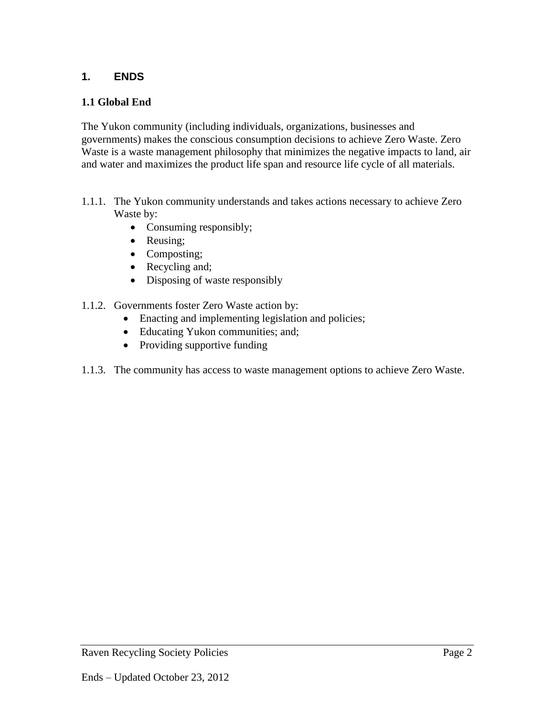# <span id="page-3-0"></span>**1. ENDS**

# <span id="page-3-1"></span>**1.1 Global End**

The Yukon community (including individuals, organizations, businesses and governments) makes the conscious consumption decisions to achieve Zero Waste. Zero Waste is a waste management philosophy that minimizes the negative impacts to land, air and water and maximizes the product life span and resource life cycle of all materials.

- <span id="page-3-2"></span>1.1.1. The Yukon community understands and takes actions necessary to achieve Zero Waste by:
	- Consuming responsibly;
	- Reusing;
	- Composting;
	- Recycling and;
	- Disposing of waste responsibly
- 1.1.2. Governments foster Zero Waste action by:
	- Enacting and implementing legislation and policies;
	- Educating Yukon communities; and;
	- Providing supportive funding
- 1.1.3. The community has access to waste management options to achieve Zero Waste.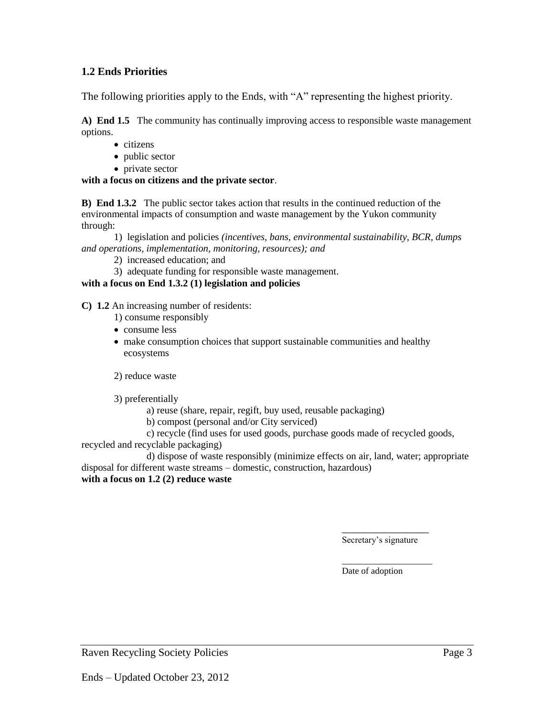#### **1.2 Ends Priorities**

The following priorities apply to the Ends, with "A" representing the highest priority.

**A) End 1.5** The community has continually improving access to responsible waste management options.

- citizens
- public sector
- private sector

#### **with a focus on citizens and the private sector**.

**B) End 1.3.2** The public sector takes action that results in the continued reduction of the environmental impacts of consumption and waste management by the Yukon community through:

1) legislation and policies *(incentives, bans, environmental sustainability, BCR, dumps and operations, implementation, monitoring, resources); and*

- 2) increased education; and
- 3) adequate funding for responsible waste management.

#### **with a focus on End 1.3.2 (1) legislation and policies**

**C) 1.2** An increasing number of residents:

- 1) consume responsibly
- consume less
- make consumption choices that support sustainable communities and healthy ecosystems

2) reduce waste

3) preferentially

- a) reuse (share, repair, regift, buy used, reusable packaging)
- b) compost (personal and/or City serviced)

c) recycle (find uses for used goods, purchase goods made of recycled goods,

recycled and recyclable packaging)

d) dispose of waste responsibly (minimize effects on air, land, water; appropriate disposal for different waste streams – domestic, construction, hazardous) **with a focus on 1.2 (2) reduce waste**

\_\_\_\_\_\_\_\_\_\_\_\_\_\_\_\_

\_\_\_\_\_\_\_\_\_\_\_\_\_\_\_\_\_\_\_\_ Date of adoption

Secretary's signature

Raven Recycling Society Policies Page 3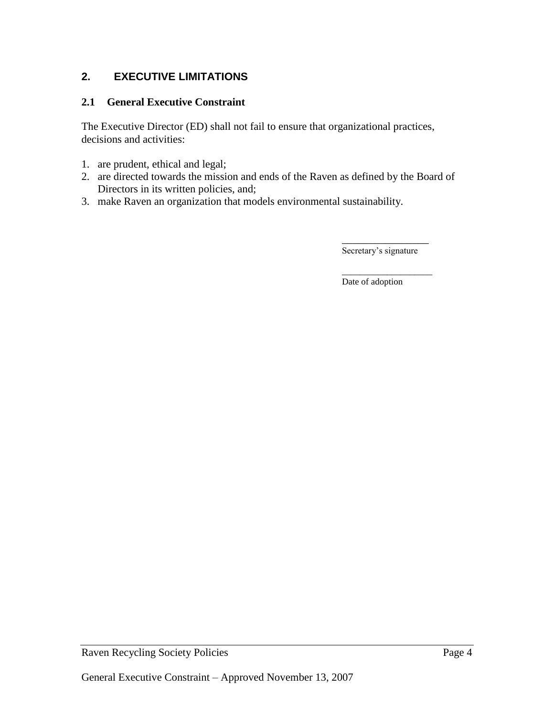# <span id="page-5-0"></span>**2. EXECUTIVE LIMITATIONS**

#### <span id="page-5-1"></span>**2.1 General Executive Constraint**

The Executive Director (ED) shall not fail to ensure that organizational practices, decisions and activities:

- 1. are prudent, ethical and legal;
- 2. are directed towards the mission and ends of the Raven as defined by the Board of Directors in its written policies, and;
- 3. make Raven an organization that models environmental sustainability.

\_\_\_\_\_\_\_\_\_\_\_\_\_\_\_\_ Secretary's signature

\_\_\_\_\_\_\_\_\_\_\_\_\_\_\_\_\_\_\_\_ Date of adoption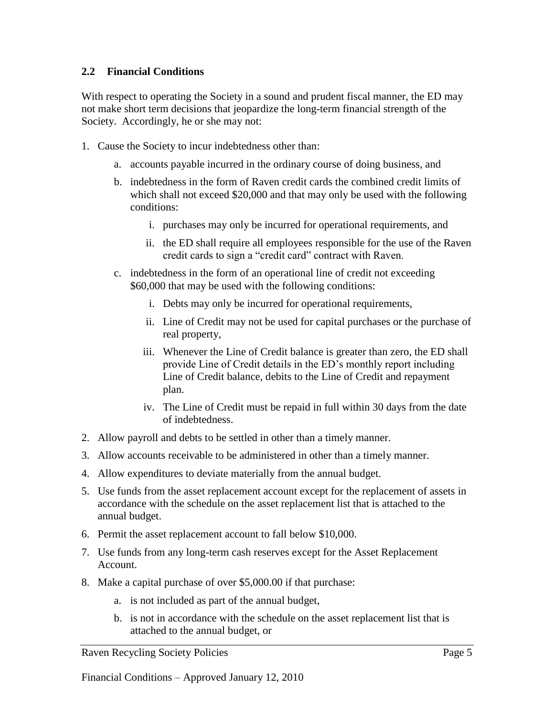#### <span id="page-6-0"></span>**2.2 Financial Conditions**

<span id="page-6-1"></span>With respect to operating the Society in a sound and prudent fiscal manner, the ED may not make short term decisions that jeopardize the long-term financial strength of the Society. Accordingly, he or she may not:

- 1. Cause the Society to incur indebtedness other than:
	- a. accounts payable incurred in the ordinary course of doing business, and
	- b. indebtedness in the form of Raven credit cards the combined credit limits of which shall not exceed \$20,000 and that may only be used with the following conditions:
		- i. purchases may only be incurred for operational requirements, and
		- ii. the ED shall require all employees responsible for the use of the Raven credit cards to sign a "credit card" contract with Raven.
	- c. indebtedness in the form of an operational line of credit not exceeding \$60,000 that may be used with the following conditions:
		- i. Debts may only be incurred for operational requirements,
		- ii. Line of Credit may not be used for capital purchases or the purchase of real property,
		- iii. Whenever the Line of Credit balance is greater than zero, the ED shall provide Line of Credit details in the ED's monthly report including Line of Credit balance, debits to the Line of Credit and repayment plan.
		- iv. The Line of Credit must be repaid in full within 30 days from the date of indebtedness.
- 2. Allow payroll and debts to be settled in other than a timely manner.
- 3. Allow accounts receivable to be administered in other than a timely manner.
- 4. Allow expenditures to deviate materially from the annual budget.
- 5. Use funds from the asset replacement account except for the replacement of assets in accordance with the schedule on the asset replacement list that is attached to the annual budget.
- 6. Permit the asset replacement account to fall below \$10,000.
- 7. Use funds from any long-term cash reserves except for the Asset Replacement Account.
- 8. Make a capital purchase of over \$5,000.00 if that purchase:
	- a. is not included as part of the annual budget,
	- b. is not in accordance with the schedule on the asset replacement list that is attached to the annual budget, or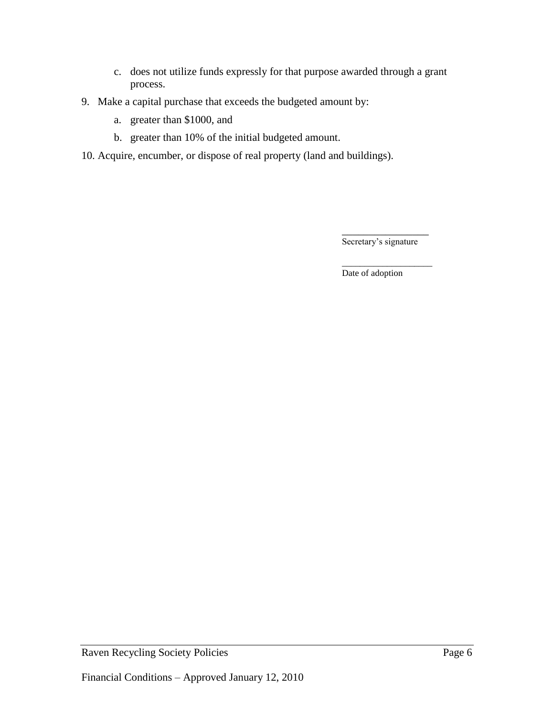- c. does not utilize funds expressly for that purpose awarded through a grant process.
- 9. Make a capital purchase that exceeds the budgeted amount by:
	- a. greater than \$1000, and
	- b. greater than 10% of the initial budgeted amount.
- 10. Acquire, encumber, or dispose of real property (land and buildings).

\_\_\_\_\_\_\_\_\_\_\_\_\_\_\_\_ Secretary's signature

\_\_\_\_\_\_\_\_\_\_\_\_\_\_\_\_\_\_\_\_ Date of adoption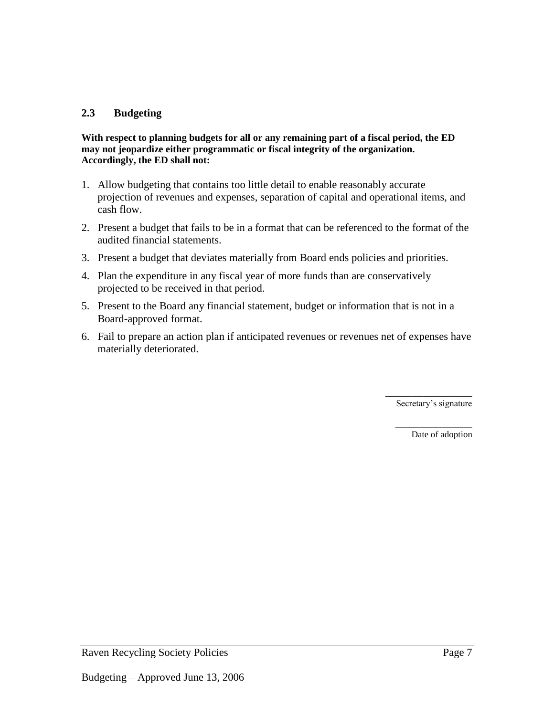#### **2.3 Budgeting**

#### **With respect to planning budgets for all or any remaining part of a fiscal period, the ED may not jeopardize either programmatic or fiscal integrity of the organization. Accordingly, the ED shall not:**

- 1. Allow budgeting that contains too little detail to enable reasonably accurate projection of revenues and expenses, separation of capital and operational items, and cash flow.
- 2. Present a budget that fails to be in a format that can be referenced to the format of the audited financial statements.
- 3. Present a budget that deviates materially from Board ends policies and priorities.
- 4. Plan the expenditure in any fiscal year of more funds than are conservatively projected to be received in that period.
- 5. Present to the Board any financial statement, budget or information that is not in a Board-approved format.
- 6. Fail to prepare an action plan if anticipated revenues or revenues net of expenses have materially deteriorated.

\_\_\_\_\_\_\_\_\_\_\_\_\_\_\_\_ Secretary's signature

> \_\_\_\_\_\_\_\_\_\_\_\_\_\_\_\_\_ Date of adoption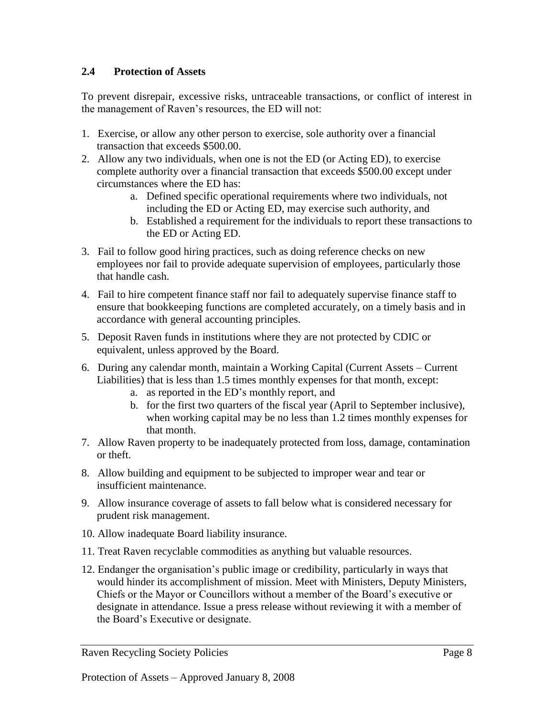#### <span id="page-9-0"></span>**2.4 Protection of Assets**

To prevent disrepair, excessive risks, untraceable transactions, or conflict of interest in the management of Raven's resources, the ED will not:

- 1. Exercise, or allow any other person to exercise, sole authority over a financial transaction that exceeds \$500.00.
- 2. Allow any two individuals, when one is not the ED (or Acting ED), to exercise complete authority over a financial transaction that exceeds \$500.00 except under circumstances where the ED has:
	- a. Defined specific operational requirements where two individuals, not including the ED or Acting ED, may exercise such authority, and
	- b. Established a requirement for the individuals to report these transactions to the ED or Acting ED.
- 3. Fail to follow good hiring practices, such as doing reference checks on new employees nor fail to provide adequate supervision of employees, particularly those that handle cash.
- 4. Fail to hire competent finance staff nor fail to adequately supervise finance staff to ensure that bookkeeping functions are completed accurately, on a timely basis and in accordance with general accounting principles.
- 5. Deposit Raven funds in institutions where they are not protected by CDIC or equivalent, unless approved by the Board.
- 6. During any calendar month, maintain a Working Capital (Current Assets Current Liabilities) that is less than 1.5 times monthly expenses for that month, except:
	- a. as reported in the ED's monthly report, and
	- b. for the first two quarters of the fiscal year (April to September inclusive), when working capital may be no less than 1.2 times monthly expenses for that month.
- 7. Allow Raven property to be inadequately protected from loss, damage, contamination or theft.
- 8. Allow building and equipment to be subjected to improper wear and tear or insufficient maintenance.
- 9. Allow insurance coverage of assets to fall below what is considered necessary for prudent risk management.
- 10. Allow inadequate Board liability insurance.
- 11. Treat Raven recyclable commodities as anything but valuable resources.
- 12. Endanger the organisation's public image or credibility, particularly in ways that would hinder its accomplishment of mission. Meet with Ministers, Deputy Ministers, Chiefs or the Mayor or Councillors without a member of the Board's executive or designate in attendance. Issue a press release without reviewing it with a member of the Board's Executive or designate.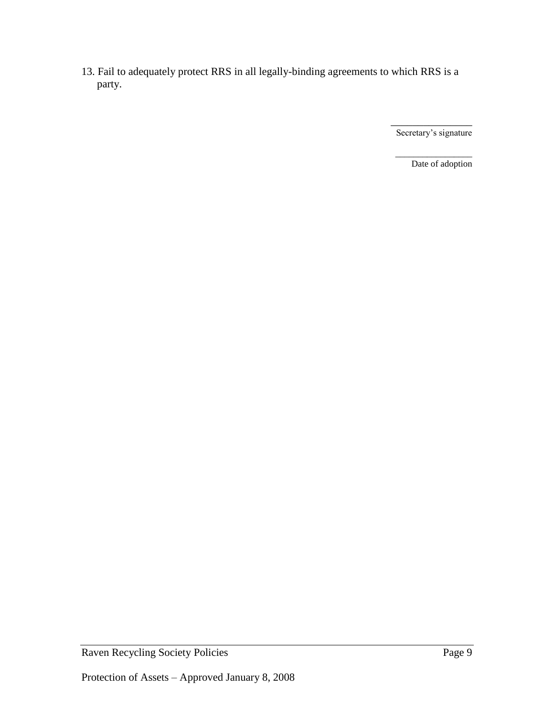13. Fail to adequately protect RRS in all legally-binding agreements to which RRS is a party.

> \_\_\_\_\_\_\_\_\_\_\_\_\_\_\_ Secretary's signature

\_\_\_\_\_\_\_\_\_\_\_\_\_\_\_\_\_ Date of adoption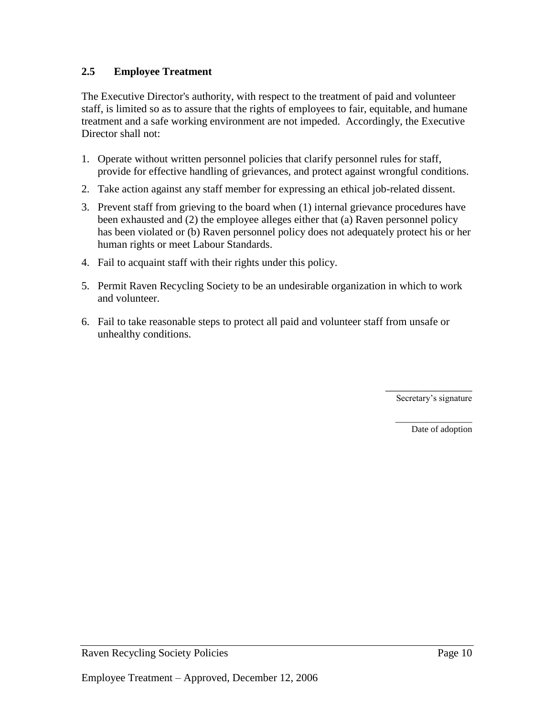# <span id="page-11-0"></span>**2.5 Employee Treatment**

The Executive Director's authority, with respect to the treatment of paid and volunteer staff, is limited so as to assure that the rights of employees to fair, equitable, and humane treatment and a safe working environment are not impeded. Accordingly, the Executive Director shall not:

- 1. Operate without written personnel policies that clarify personnel rules for staff, provide for effective handling of grievances, and protect against wrongful conditions.
- 2. Take action against any staff member for expressing an ethical job-related dissent.
- 3. Prevent staff from grieving to the board when (1) internal grievance procedures have been exhausted and (2) the employee alleges either that (a) Raven personnel policy has been violated or (b) Raven personnel policy does not adequately protect his or her human rights or meet Labour Standards.
- 4. Fail to acquaint staff with their rights under this policy.
- 5. Permit Raven Recycling Society to be an undesirable organization in which to work and volunteer.
- 6. Fail to take reasonable steps to protect all paid and volunteer staff from unsafe or unhealthy conditions.

\_\_\_\_\_\_\_\_\_\_\_\_\_\_\_\_ Secretary's signature

> \_\_\_\_\_\_\_\_\_\_\_\_\_\_\_\_\_ Date of adoption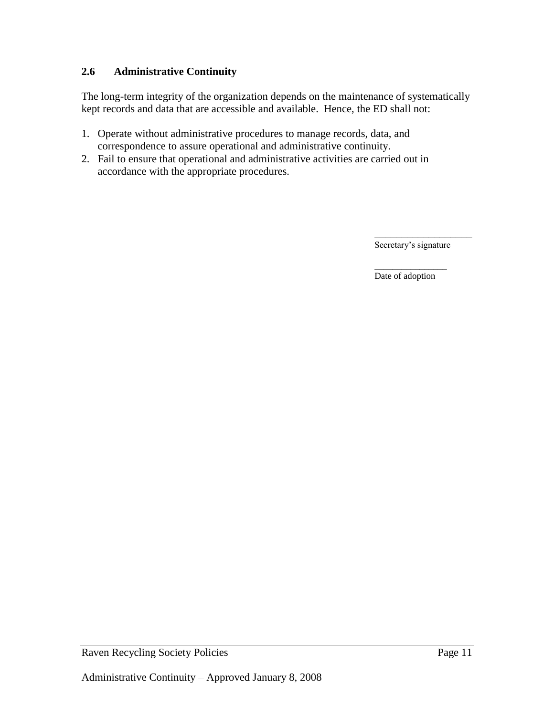# <span id="page-12-0"></span>**2.6 Administrative Continuity**

The long-term integrity of the organization depends on the maintenance of systematically kept records and data that are accessible and available. Hence, the ED shall not:

- 1. Operate without administrative procedures to manage records, data, and correspondence to assure operational and administrative continuity.
- 2. Fail to ensure that operational and administrative activities are carried out in accordance with the appropriate procedures.

\_\_\_\_\_\_\_\_\_\_\_\_\_\_\_\_\_\_ Secretary's signature

\_\_\_\_\_\_\_\_\_\_\_\_\_\_\_\_ Date of adoption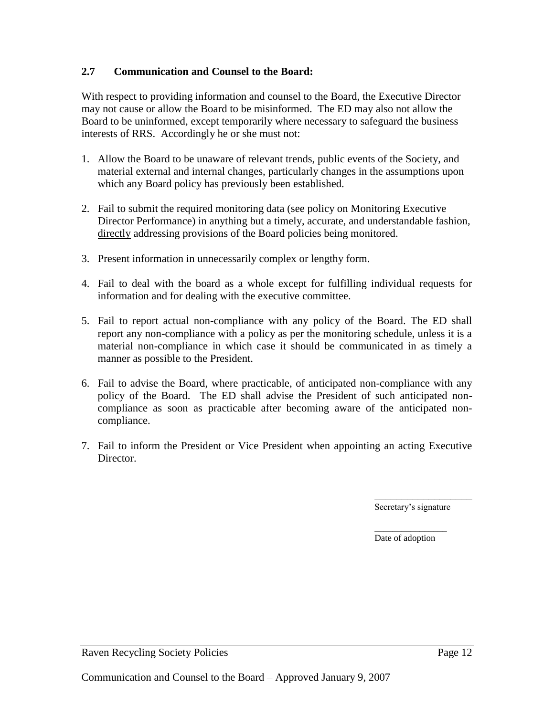#### <span id="page-13-0"></span>**2.7 Communication and Counsel to the Board:**

With respect to providing information and counsel to the Board, the Executive Director may not cause or allow the Board to be misinformed. The ED may also not allow the Board to be uninformed, except temporarily where necessary to safeguard the business interests of RRS. Accordingly he or she must not:

- 1. Allow the Board to be unaware of relevant trends, public events of the Society, and material external and internal changes, particularly changes in the assumptions upon which any Board policy has previously been established.
- 2. Fail to submit the required monitoring data (see policy on Monitoring Executive Director Performance) in anything but a timely, accurate, and understandable fashion, directly addressing provisions of the Board policies being monitored.
- 3. Present information in unnecessarily complex or lengthy form.
- 4. Fail to deal with the board as a whole except for fulfilling individual requests for information and for dealing with the executive committee.
- 5. Fail to report actual non-compliance with any policy of the Board. The ED shall report any non-compliance with a policy as per the monitoring schedule, unless it is a material non-compliance in which case it should be communicated in as timely a manner as possible to the President.
- 6. Fail to advise the Board, where practicable, of anticipated non-compliance with any policy of the Board. The ED shall advise the President of such anticipated noncompliance as soon as practicable after becoming aware of the anticipated noncompliance.
- 7. Fail to inform the President or Vice President when appointing an acting Executive Director.

Secretary's signature

\_\_\_\_\_\_\_\_\_\_\_\_\_\_\_\_\_\_

\_\_\_\_\_\_\_\_\_\_\_\_\_\_\_\_ Date of adoption

Raven Recycling Society Policies Page 12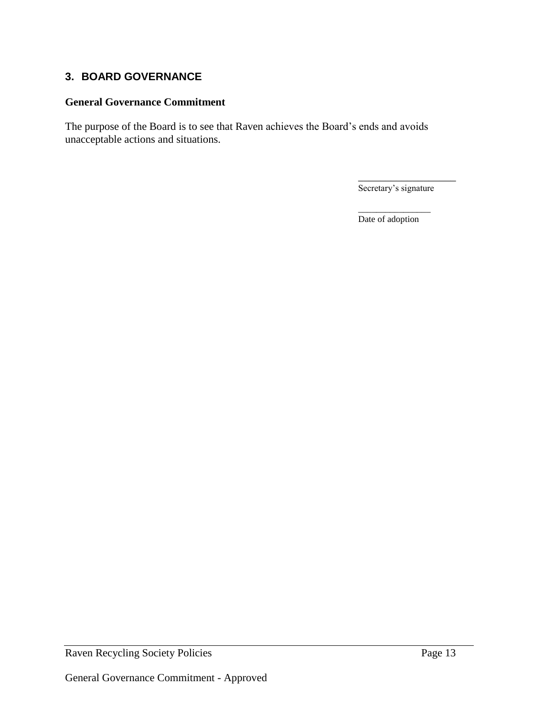# <span id="page-14-0"></span>**3. BOARD GOVERNANCE**

#### **General Governance Commitment**

The purpose of the Board is to see that Raven achieves the Board's ends and avoids unacceptable actions and situations.

Secretary's signature

\_\_\_\_\_\_\_\_\_\_\_\_\_\_\_\_\_\_

\_\_\_\_\_\_\_\_\_\_\_\_\_\_\_\_ Date of adoption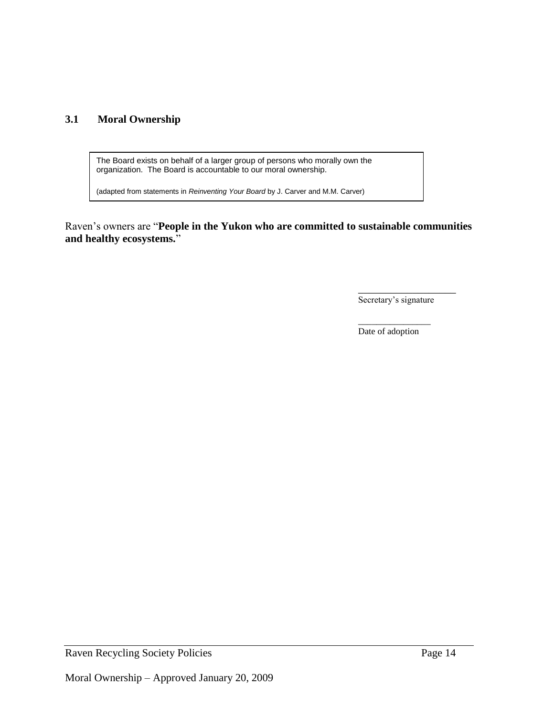# <span id="page-15-0"></span>**3.1 Moral Ownership**

The Board exists on behalf of a larger group of persons who morally own the organization. The Board is accountable to our moral ownership.

(adapted from statements in *Reinventing Your Board* by J. Carver and M.M. Carver)

Raven's owners are "**People in the Yukon who are committed to sustainable communities and healthy ecosystems.**"

Secretary's signature

\_\_\_\_\_\_\_\_\_\_\_\_\_\_\_\_\_\_

\_\_\_\_\_\_\_\_\_\_\_\_\_\_\_\_ Date of adoption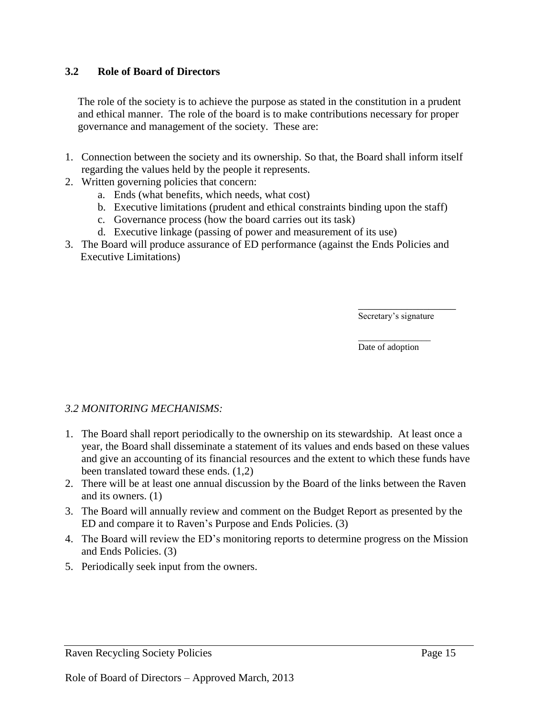#### <span id="page-16-0"></span>**3.2 Role of Board of Directors**

The role of the society is to achieve the purpose as stated in the constitution in a prudent and ethical manner. The role of the board is to make contributions necessary for proper governance and management of the society. These are:

- 1. Connection between the society and its ownership*.* So that, the Board shall inform itself regarding the values held by the people it represents.
- 2. Written governing policies that concern:
	- a. Ends (what benefits, which needs, what cost)
	- b. Executive limitations (prudent and ethical constraints binding upon the staff)
	- c. Governance process (how the board carries out its task)
	- d. Executive linkage (passing of power and measurement of its use)
- 3. The Board will produce assurance of ED performance (against the Ends Policies and Executive Limitations)

\_\_\_\_\_\_\_\_\_\_\_\_\_\_\_\_\_\_ Secretary's signature

\_\_\_\_\_\_\_\_\_\_\_\_\_\_\_\_ Date of adoption

#### *3.2 MONITORING MECHANISMS:*

- 1. The Board shall report periodically to the ownership on its stewardship. At least once a year, the Board shall disseminate a statement of its values and ends based on these values and give an accounting of its financial resources and the extent to which these funds have been translated toward these ends. (1,2)
- 2. There will be at least one annual discussion by the Board of the links between the Raven and its owners. (1)
- 3. The Board will annually review and comment on the Budget Report as presented by the ED and compare it to Raven's Purpose and Ends Policies. (3)
- 4. The Board will review the ED's monitoring reports to determine progress on the Mission and Ends Policies. (3)
- 5. Periodically seek input from the owners.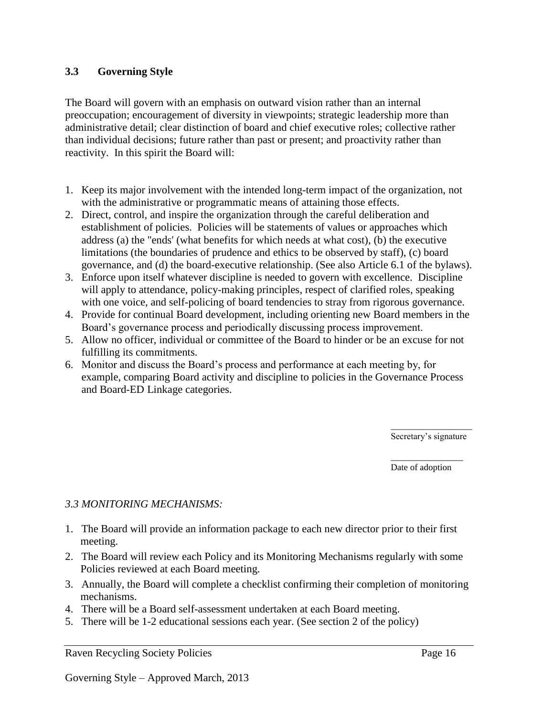#### <span id="page-17-0"></span>**3.3 Governing Style**

The Board will govern with an emphasis on outward vision rather than an internal preoccupation; encouragement of diversity in viewpoints; strategic leadership more than administrative detail; clear distinction of board and chief executive roles; collective rather than individual decisions; future rather than past or present; and proactivity rather than reactivity. In this spirit the Board will:

- 1. Keep its major involvement with the intended long-term impact of the organization, not with the administrative or programmatic means of attaining those effects.
- 2. Direct, control, and inspire the organization through the careful deliberation and establishment of policies. Policies will be statements of values or approaches which address (a) the "ends' (what benefits for which needs at what cost), (b) the executive limitations (the boundaries of prudence and ethics to be observed by staff), (c) board governance, and (d) the board-executive relationship. (See also Article 6.1 of the bylaws).
- 3. Enforce upon itself whatever discipline is needed to govern with excellence. Discipline will apply to attendance, policy-making principles, respect of clarified roles, speaking with one voice, and self-policing of board tendencies to stray from rigorous governance.
- 4. Provide for continual Board development, including orienting new Board members in the Board's governance process and periodically discussing process improvement.
- 5. Allow no officer, individual or committee of the Board to hinder or be an excuse for not fulfilling its commitments.
- 6. Monitor and discuss the Board's process and performance at each meeting by, for example, comparing Board activity and discipline to policies in the Governance Process and Board-ED Linkage categories.

\_\_\_\_\_\_\_\_\_\_\_\_\_\_\_\_\_\_ Secretary's signature

\_\_\_\_\_\_\_\_\_\_\_\_\_\_\_\_ Date of adoption

#### *3.3 MONITORING MECHANISMS:*

- 1. The Board will provide an information package to each new director prior to their first meeting.
- 2. The Board will review each Policy and its Monitoring Mechanisms regularly with some Policies reviewed at each Board meeting.
- 3. Annually, the Board will complete a checklist confirming their completion of monitoring mechanisms.
- 4. There will be a Board self-assessment undertaken at each Board meeting.
- 5. There will be 1-2 educational sessions each year. (See section 2 of the policy)

Raven Recycling Society Policies Page 16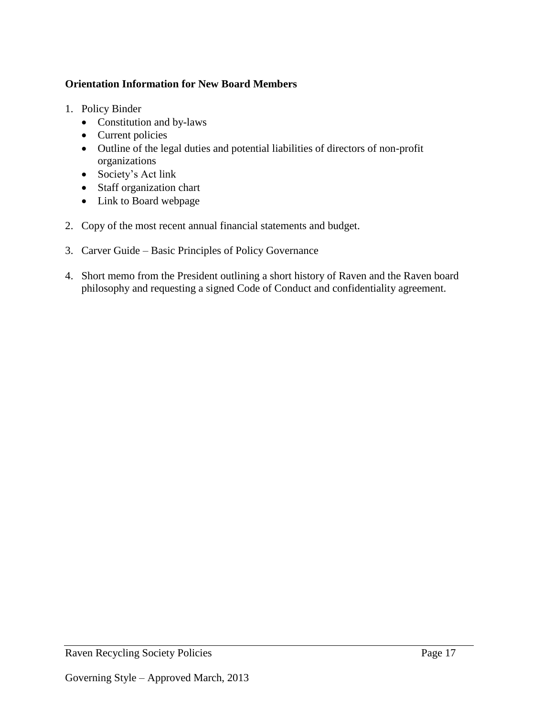# **Orientation Information for New Board Members**

- 1. Policy Binder
	- Constitution and by-laws
	- Current policies
	- Outline of the legal duties and potential liabilities of directors of non-profit organizations
	- Society's Act link
	- Staff organization chart
	- Link to Board webpage
- 2. Copy of the most recent annual financial statements and budget.
- 3. Carver Guide Basic Principles of Policy Governance
- 4. Short memo from the President outlining a short history of Raven and the Raven board philosophy and requesting a signed Code of Conduct and confidentiality agreement.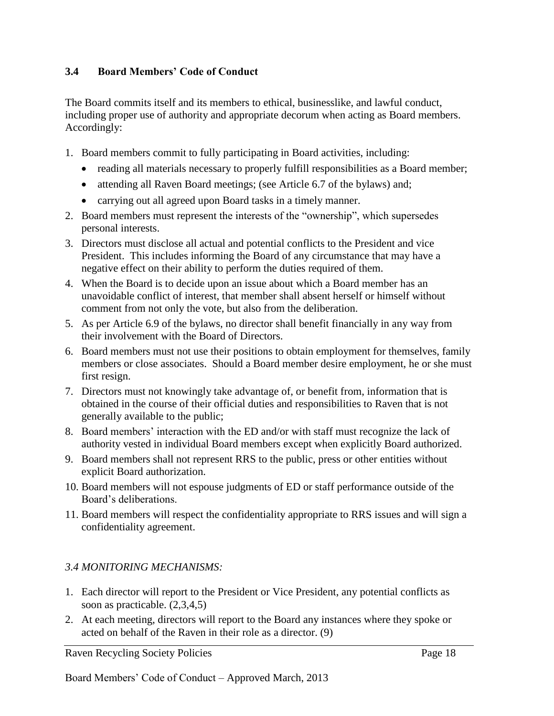#### <span id="page-19-0"></span>**3.4 Board Members' Code of Conduct**

The Board commits itself and its members to ethical, businesslike, and lawful conduct, including proper use of authority and appropriate decorum when acting as Board members. Accordingly:

- 1. Board members commit to fully participating in Board activities, including:
	- reading all materials necessary to properly fulfill responsibilities as a Board member;
	- attending all Raven Board meetings; (see Article 6.7 of the bylaws) and;
	- carrying out all agreed upon Board tasks in a timely manner.
- 2. Board members must represent the interests of the "ownership", which supersedes personal interests.
- 3. Directors must disclose all actual and potential conflicts to the President and vice President. This includes informing the Board of any circumstance that may have a negative effect on their ability to perform the duties required of them.
- 4. When the Board is to decide upon an issue about which a Board member has an unavoidable conflict of interest, that member shall absent herself or himself without comment from not only the vote, but also from the deliberation.
- 5. As per Article 6.9 of the bylaws, no director shall benefit financially in any way from their involvement with the Board of Directors.
- 6. Board members must not use their positions to obtain employment for themselves, family members or close associates. Should a Board member desire employment, he or she must first resign.
- 7. Directors must not knowingly take advantage of, or benefit from, information that is obtained in the course of their official duties and responsibilities to Raven that is not generally available to the public;
- 8. Board members' interaction with the ED and/or with staff must recognize the lack of authority vested in individual Board members except when explicitly Board authorized.
- 9. Board members shall not represent RRS to the public, press or other entities without explicit Board authorization.
- 10. Board members will not espouse judgments of ED or staff performance outside of the Board's deliberations.
- 11. Board members will respect the confidentiality appropriate to RRS issues and will sign a confidentiality agreement.

# *3.4 MONITORING MECHANISMS:*

- 1. Each director will report to the President or Vice President, any potential conflicts as soon as practicable. (2,3,4,5)
- 2. At each meeting, directors will report to the Board any instances where they spoke or acted on behalf of the Raven in their role as a director. (9)

Raven Recycling Society Policies Page 18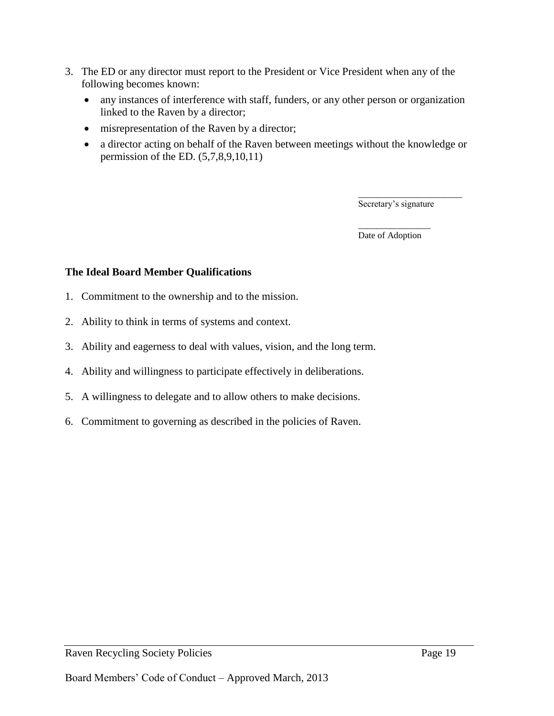- 3. The ED or any director must report to the President or Vice President when any of the following becomes known:
	- any instances of interference with staff, funders, or any other person or organization linked to the Raven by a director;
	- misrepresentation of the Raven by a director;
	- a director acting on behalf of the Raven between meetings without the knowledge or permission of the ED. (5,7,8,9,10,11)

\_\_\_\_\_\_\_\_\_\_\_\_\_\_\_\_\_\_\_\_\_\_\_ Secretary's signature

\_\_\_\_\_\_\_\_\_\_\_\_\_\_\_\_ Date of Adoption

#### **The Ideal Board Member Qualifications**

- 1. Commitment to the ownership and to the mission.
- 2. Ability to think in terms of systems and context.
- 3. Ability and eagerness to deal with values, vision, and the long term.
- 4. Ability and willingness to participate effectively in deliberations.
- 5. A willingness to delegate and to allow others to make decisions.
- 6. Commitment to governing as described in the policies of Raven.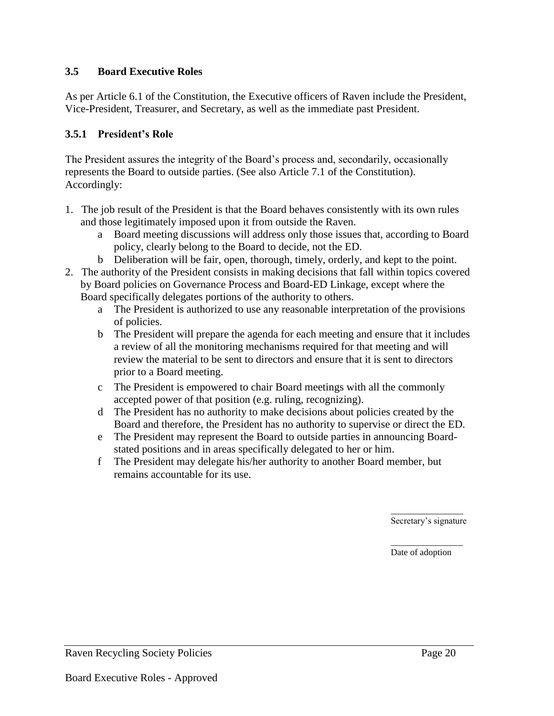#### <span id="page-21-0"></span>**3.5 Board Executive Roles**

As per Article 6.1 of the Constitution, the Executive officers of Raven include the President, Vice-President, Treasurer, and Secretary, as well as the immediate past President.

#### **3.5.1 President's Role**

The President assures the integrity of the Board's process and, secondarily, occasionally represents the Board to outside parties. (See also Article 7.1 of the Constitution). Accordingly:

- 1. The job result of the President is that the Board behaves consistently with its own rules and those legitimately imposed upon it from outside the Raven.
	- a Board meeting discussions will address only those issues that, according to Board policy, clearly belong to the Board to decide, not the ED.
	- b Deliberation will be fair, open, thorough, timely, orderly, and kept to the point.
- 2. The authority of the President consists in making decisions that fall within topics covered by Board policies on Governance Process and Board-ED Linkage, except where the Board specifically delegates portions of the authority to others.
	- a The President is authorized to use any reasonable interpretation of the provisions of policies.
	- b The President will prepare the agenda for each meeting and ensure that it includes a review of all the monitoring mechanisms required for that meeting and will review the material to be sent to directors and ensure that it is sent to directors prior to a Board meeting.
	- c The President is empowered to chair Board meetings with all the commonly accepted power of that position (e.g. ruling, recognizing).
	- d The President has no authority to make decisions about policies created by the Board and therefore, the President has no authority to supervise or direct the ED.
	- e The President may represent the Board to outside parties in announcing Boardstated positions and in areas specifically delegated to her or him.
	- f The President may delegate his/her authority to another Board member, but remains accountable for its use.

\_\_\_\_\_\_\_\_\_\_\_\_\_\_\_\_ Secretary's signature

\_\_\_\_\_\_\_\_\_\_\_\_\_\_\_\_ Date of adoption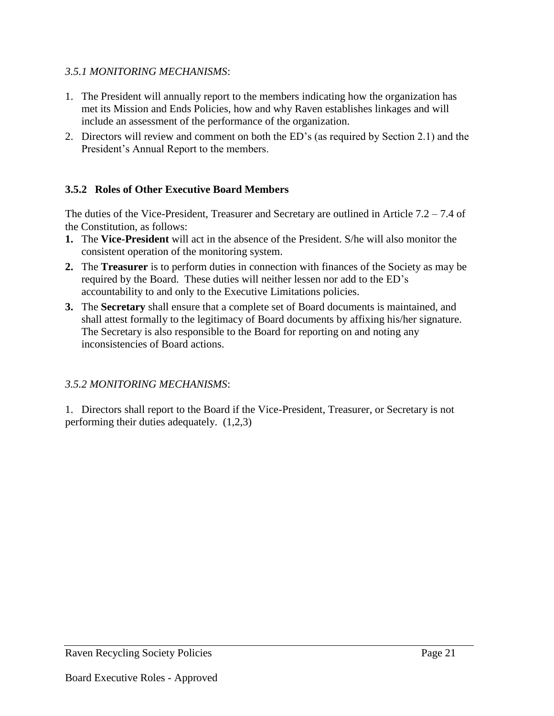# *3.5.1 MONITORING MECHANISMS*:

- 1. The President will annually report to the members indicating how the organization has met its Mission and Ends Policies, how and why Raven establishes linkages and will include an assessment of the performance of the organization.
- 2. Directors will review and comment on both the ED's (as required by Section 2.1) and the President's Annual Report to the members.

# **3.5.2 Roles of Other Executive Board Members**

The duties of the Vice-President, Treasurer and Secretary are outlined in Article  $7.2 - 7.4$  of the Constitution, as follows:

- **1.** The **Vice-President** will act in the absence of the President. S/he will also monitor the consistent operation of the monitoring system.
- **2.** The **Treasurer** is to perform duties in connection with finances of the Society as may be required by the Board. These duties will neither lessen nor add to the ED's accountability to and only to the Executive Limitations policies.
- **3.** The **Secretary** shall ensure that a complete set of Board documents is maintained, and shall attest formally to the legitimacy of Board documents by affixing his/her signature. The Secretary is also responsible to the Board for reporting on and noting any inconsistencies of Board actions.

# *3.5.2 MONITORING MECHANISMS*:

1. Directors shall report to the Board if the Vice-President, Treasurer, or Secretary is not performing their duties adequately. (1,2,3)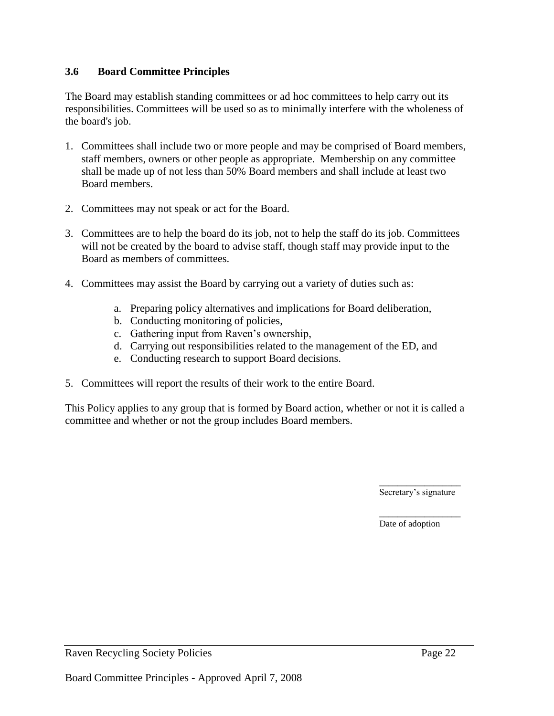#### <span id="page-23-0"></span>**3.6 Board Committee Principles**

The Board may establish standing committees or ad hoc committees to help carry out its responsibilities. Committees will be used so as to minimally interfere with the wholeness of the board's job.

- 1. Committees shall include two or more people and may be comprised of Board members, staff members, owners or other people as appropriate. Membership on any committee shall be made up of not less than 50% Board members and shall include at least two Board members.
- 2. Committees may not speak or act for the Board.
- 3. Committees are to help the board do its job, not to help the staff do its job. Committees will not be created by the board to advise staff, though staff may provide input to the Board as members of committees.
- 4. Committees may assist the Board by carrying out a variety of duties such as:
	- a. Preparing policy alternatives and implications for Board deliberation,
	- b. Conducting monitoring of policies,
	- c. Gathering input from Raven's ownership,
	- d. Carrying out responsibilities related to the management of the ED, and
	- e. Conducting research to support Board decisions.
- 5. Committees will report the results of their work to the entire Board.

This Policy applies to any group that is formed by Board action, whether or not it is called a committee and whether or not the group includes Board members.

> \_\_\_\_\_\_\_\_\_\_\_\_\_\_\_\_\_\_ Secretary's signature

\_\_\_\_\_\_\_\_\_\_\_\_\_\_\_\_\_\_

Date of adoption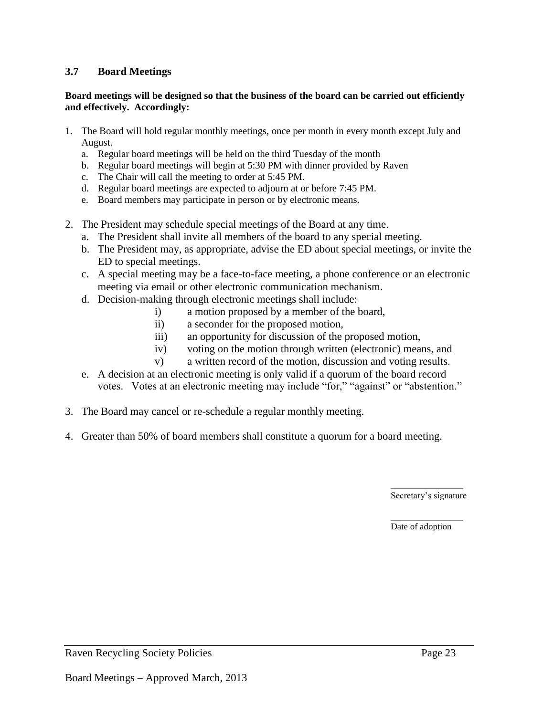#### <span id="page-24-0"></span>**3.7 Board Meetings**

#### **Board meetings will be designed so that the business of the board can be carried out efficiently and effectively. Accordingly:**

- 1. The Board will hold regular monthly meetings, once per month in every month except July and August.
	- a. Regular board meetings will be held on the third Tuesday of the month
	- b. Regular board meetings will begin at 5:30 PM with dinner provided by Raven
	- c. The Chair will call the meeting to order at 5:45 PM.
	- d. Regular board meetings are expected to adjourn at or before 7:45 PM.
	- e. Board members may participate in person or by electronic means.
- 2. The President may schedule special meetings of the Board at any time.
	- a. The President shall invite all members of the board to any special meeting.
	- b. The President may, as appropriate, advise the ED about special meetings, or invite the ED to special meetings.
	- c. A special meeting may be a face-to-face meeting, a phone conference or an electronic meeting via email or other electronic communication mechanism.
	- d. Decision-making through electronic meetings shall include:
		- i) a motion proposed by a member of the board,
		- ii) a seconder for the proposed motion,
		- iii) an opportunity for discussion of the proposed motion,
		- iv) voting on the motion through written (electronic) means, and
		- v) a written record of the motion, discussion and voting results.
	- e. A decision at an electronic meeting is only valid if a quorum of the board record votes. Votes at an electronic meeting may include "for," "against" or "abstention."
- 3. The Board may cancel or re-schedule a regular monthly meeting.
- 4. Greater than 50% of board members shall constitute a quorum for a board meeting.

\_\_\_\_\_\_\_\_\_\_\_\_\_\_\_\_ Secretary's signature

\_\_\_\_\_\_\_\_\_\_\_\_\_\_\_\_ Date of adoption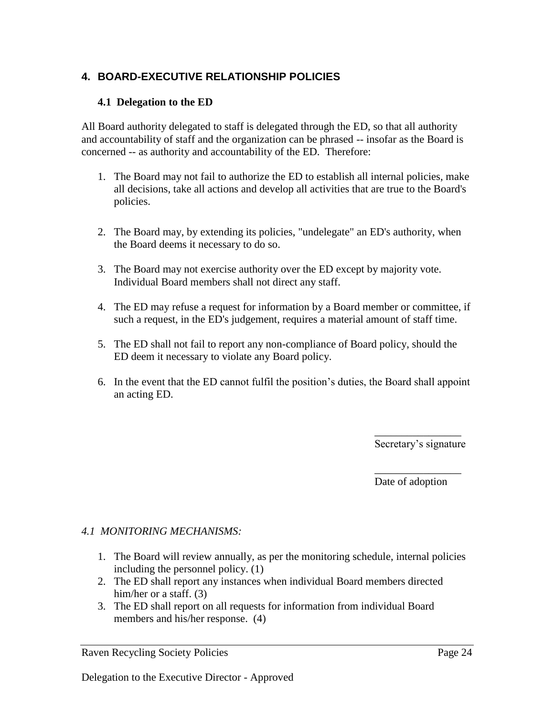# <span id="page-25-0"></span>**4. BOARD-EXECUTIVE RELATIONSHIP POLICIES**

#### <span id="page-25-1"></span>**4.1 Delegation to the ED**

All Board authority delegated to staff is delegated through the ED, so that all authority and accountability of staff and the organization can be phrased -- insofar as the Board is concerned -- as authority and accountability of the ED. Therefore:

- 1. The Board may not fail to authorize the ED to establish all internal policies, make all decisions, take all actions and develop all activities that are true to the Board's policies.
- 2. The Board may, by extending its policies, "undelegate" an ED's authority, when the Board deems it necessary to do so.
- 3. The Board may not exercise authority over the ED except by majority vote. Individual Board members shall not direct any staff.
- 4. The ED may refuse a request for information by a Board member or committee, if such a request, in the ED's judgement, requires a material amount of staff time.
- 5. The ED shall not fail to report any non-compliance of Board policy, should the ED deem it necessary to violate any Board policy.
- 6. In the event that the ED cannot fulfil the position's duties, the Board shall appoint an acting ED.

\_\_\_\_\_\_\_\_\_\_\_\_\_\_\_\_ Secretary's signature

\_\_\_\_\_\_\_\_\_\_\_\_\_\_\_\_ Date of adoption

#### *4.1 MONITORING MECHANISMS:*

- 1. The Board will review annually, as per the monitoring schedule, internal policies including the personnel policy. (1)
- 2. The ED shall report any instances when individual Board members directed him/her or a staff. (3)
- 3. The ED shall report on all requests for information from individual Board members and his/her response. (4)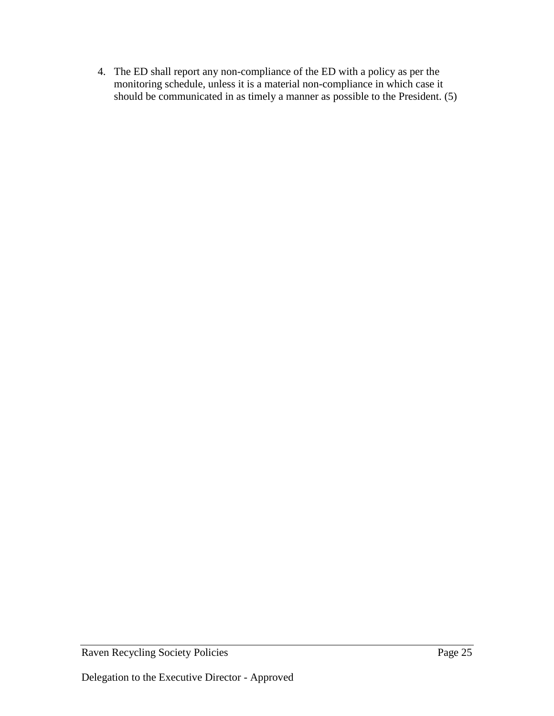4. The ED shall report any non-compliance of the ED with a policy as per the monitoring schedule, unless it is a material non-compliance in which case it should be communicated in as timely a manner as possible to the President. (5)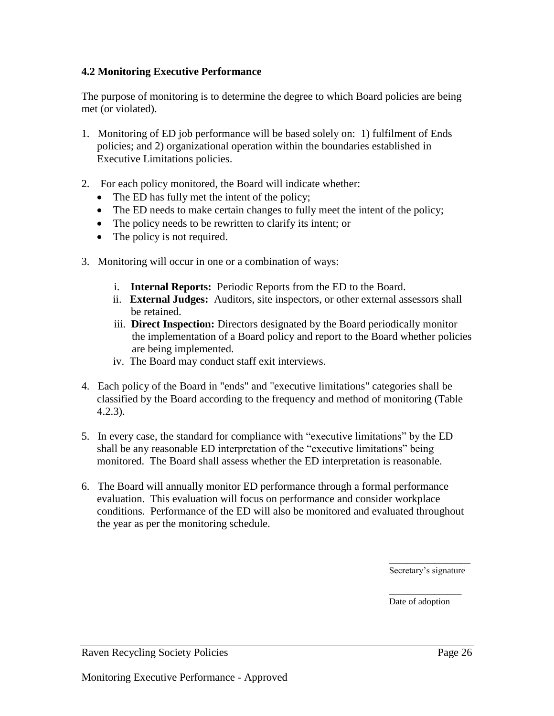#### <span id="page-27-0"></span>**4.2 Monitoring Executive Performance**

The purpose of monitoring is to determine the degree to which Board policies are being met (or violated).

- 1. Monitoring of ED job performance will be based solely on: 1) fulfilment of Ends policies; and 2) organizational operation within the boundaries established in Executive Limitations policies.
- 2. For each policy monitored, the Board will indicate whether:
	- The ED has fully met the intent of the policy;
	- The ED needs to make certain changes to fully meet the intent of the policy;
	- The policy needs to be rewritten to clarify its intent; or
	- The policy is not required.
- 3. Monitoring will occur in one or a combination of ways:
	- i. **Internal Reports:** Periodic Reports from the ED to the Board.
	- ii. **External Judges:** Auditors, site inspectors, or other external assessors shall be retained.
	- iii. **Direct Inspection:** Directors designated by the Board periodically monitor the implementation of a Board policy and report to the Board whether policies are being implemented.
	- iv. The Board may conduct staff exit interviews.
- 4. Each policy of the Board in "ends" and "executive limitations" categories shall be classified by the Board according to the frequency and method of monitoring (Table 4.2.3).
- 5. In every case, the standard for compliance with "executive limitations" by the ED shall be any reasonable ED interpretation of the "executive limitations" being monitored. The Board shall assess whether the ED interpretation is reasonable.
- 6. The Board will annually monitor ED performance through a formal performance evaluation. This evaluation will focus on performance and consider workplace conditions. Performance of the ED will also be monitored and evaluated throughout the year as per the monitoring schedule.

\_\_\_\_\_\_\_\_\_\_\_\_\_\_\_\_\_\_ Secretary's signature

\_\_\_\_\_\_\_\_\_\_\_\_\_\_\_\_ Date of adoption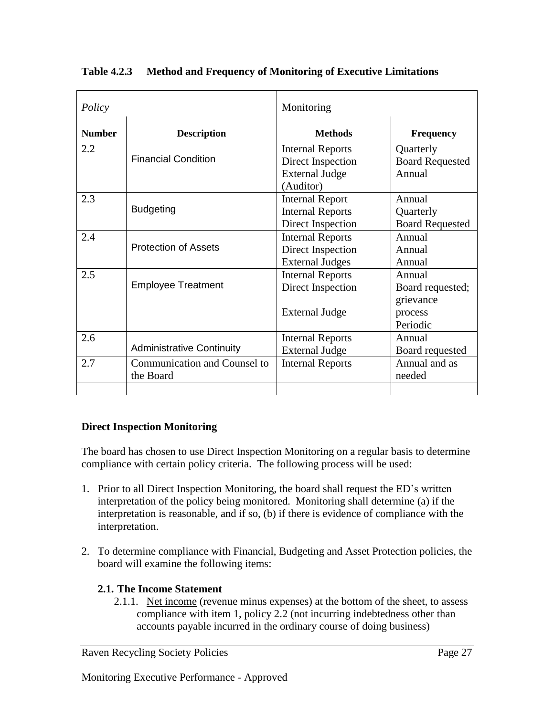| Policy        |                                           | Monitoring                                                                         |                                                                |
|---------------|-------------------------------------------|------------------------------------------------------------------------------------|----------------------------------------------------------------|
| <b>Number</b> | <b>Description</b>                        | <b>Methods</b>                                                                     | <b>Frequency</b>                                               |
| 2.2           | <b>Financial Condition</b>                | <b>Internal Reports</b><br>Direct Inspection<br><b>External Judge</b><br>(Auditor) | Quarterly<br><b>Board Requested</b><br>Annual                  |
| 2.3           | <b>Budgeting</b>                          | <b>Internal Report</b><br><b>Internal Reports</b><br>Direct Inspection             | Annual<br>Quarterly<br><b>Board Requested</b>                  |
| 2.4           | <b>Protection of Assets</b>               | <b>Internal Reports</b><br>Direct Inspection<br><b>External Judges</b>             | Annual<br>Annual<br>Annual                                     |
| 2.5           | <b>Employee Treatment</b>                 | <b>Internal Reports</b><br>Direct Inspection<br>External Judge                     | Annual<br>Board requested;<br>grievance<br>process<br>Periodic |
| 2.6           | <b>Administrative Continuity</b>          | <b>Internal Reports</b><br><b>External Judge</b>                                   | Annual<br>Board requested                                      |
| 2.7           | Communication and Counsel to<br>the Board | <b>Internal Reports</b>                                                            | Annual and as<br>needed                                        |

# **Table 4.2.3 Method and Frequency of Monitoring of Executive Limitations**

# **Direct Inspection Monitoring**

The board has chosen to use Direct Inspection Monitoring on a regular basis to determine compliance with certain policy criteria. The following process will be used:

- 1. Prior to all Direct Inspection Monitoring, the board shall request the ED's written interpretation of the policy being monitored. Monitoring shall determine (a) if the interpretation is reasonable, and if so, (b) if there is evidence of compliance with the interpretation.
- 2. To determine compliance with Financial, Budgeting and Asset Protection policies, the board will examine the following items:

# **2.1. The Income Statement**

2.1.1. Net income (revenue minus expenses) at the bottom of the sheet, to assess compliance with item 1, policy 2.2 (not incurring indebtedness other than accounts payable incurred in the ordinary course of doing business)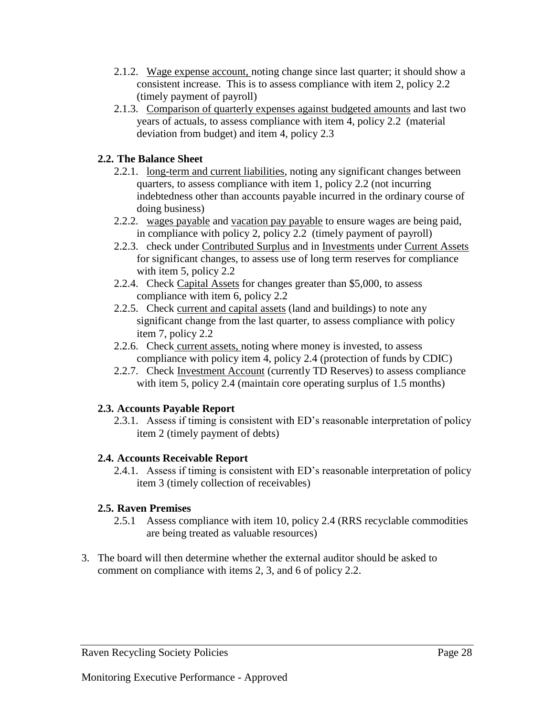- 2.1.2. Wage expense account, noting change since last quarter; it should show a consistent increase. This is to assess compliance with item 2, policy 2.2 (timely payment of payroll)
- 2.1.3. Comparison of quarterly expenses against budgeted amounts and last two years of actuals, to assess compliance with item 4, policy 2.2 (material deviation from budget) and item 4, policy 2.3

# **2.2. The Balance Sheet**

- 2.2.1. long-term and current liabilities, noting any significant changes between quarters, to assess compliance with item 1, policy 2.2 (not incurring indebtedness other than accounts payable incurred in the ordinary course of doing business)
- 2.2.2. wages payable and vacation pay payable to ensure wages are being paid, in compliance with policy 2, policy 2.2 (timely payment of payroll)
- 2.2.3. check under Contributed Surplus and in Investments under Current Assets for significant changes, to assess use of long term reserves for compliance with item 5, policy 2.2
- 2.2.4. Check Capital Assets for changes greater than \$5,000, to assess compliance with item 6, policy 2.2
- 2.2.5. Check current and capital assets (land and buildings) to note any significant change from the last quarter, to assess compliance with policy item 7, policy 2.2
- 2.2.6. Check current assets, noting where money is invested, to assess compliance with policy item 4, policy 2.4 (protection of funds by CDIC)
- 2.2.7. Check Investment Account (currently TD Reserves) to assess compliance with item 5, policy 2.4 (maintain core operating surplus of 1.5 months)

# **2.3. Accounts Payable Report**

2.3.1. Assess if timing is consistent with ED's reasonable interpretation of policy item 2 (timely payment of debts)

# **2.4. Accounts Receivable Report**

2.4.1. Assess if timing is consistent with ED's reasonable interpretation of policy item 3 (timely collection of receivables)

# **2.5. Raven Premises**

- 2.5.1 Assess compliance with item 10, policy 2.4 (RRS recyclable commodities are being treated as valuable resources)
- 3. The board will then determine whether the external auditor should be asked to comment on compliance with items 2, 3, and 6 of policy 2.2.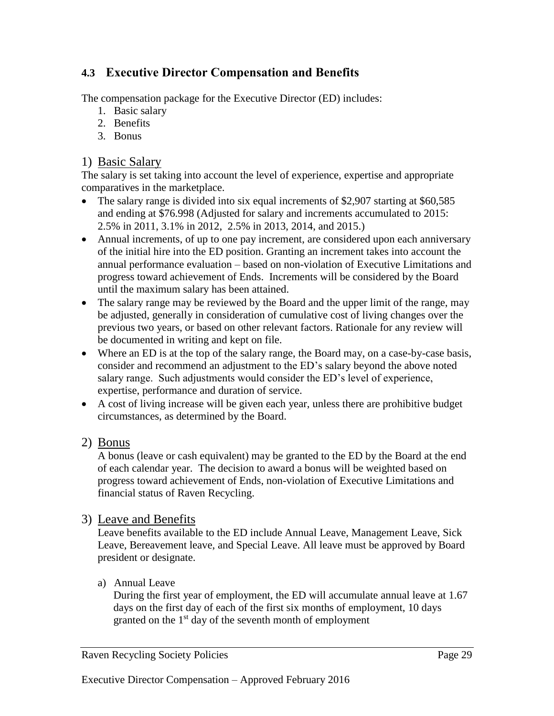# <span id="page-30-0"></span>**4.3 Executive Director Compensation and Benefits**

The compensation package for the Executive Director (ED) includes:

- 1. Basic salary
- 2. Benefits
- 3. Bonus

# 1) Basic Salary

The salary is set taking into account the level of experience, expertise and appropriate comparatives in the marketplace.

- The salary range is divided into six equal increments of \$2,907 starting at \$60,585 and ending at \$76.998 (Adjusted for salary and increments accumulated to 2015: 2.5% in 2011, 3.1% in 2012, 2.5% in 2013, 2014, and 2015.)
- Annual increments, of up to one pay increment, are considered upon each anniversary of the initial hire into the ED position. Granting an increment takes into account the annual performance evaluation – based on non-violation of Executive Limitations and progress toward achievement of Ends. Increments will be considered by the Board until the maximum salary has been attained.
- The salary range may be reviewed by the Board and the upper limit of the range, may be adjusted, generally in consideration of cumulative cost of living changes over the previous two years, or based on other relevant factors. Rationale for any review will be documented in writing and kept on file.
- Where an ED is at the top of the salary range, the Board may, on a case-by-case basis, consider and recommend an adjustment to the ED's salary beyond the above noted salary range. Such adjustments would consider the ED's level of experience, expertise, performance and duration of service.
- A cost of living increase will be given each year, unless there are prohibitive budget circumstances, as determined by the Board.

# 2) Bonus

A bonus (leave or cash equivalent) may be granted to the ED by the Board at the end of each calendar year. The decision to award a bonus will be weighted based on progress toward achievement of Ends, non-violation of Executive Limitations and financial status of Raven Recycling.

# 3) Leave and Benefits

Leave benefits available to the ED include Annual Leave, Management Leave, Sick Leave, Bereavement leave, and Special Leave. All leave must be approved by Board president or designate.

a) Annual Leave

During the first year of employment, the ED will accumulate annual leave at 1.67 days on the first day of each of the first six months of employment, 10 days granted on the  $1<sup>st</sup>$  day of the seventh month of employment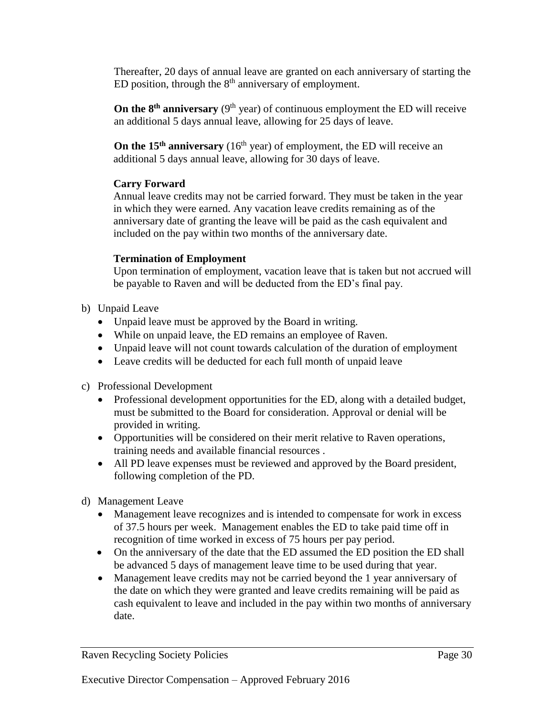Thereafter, 20 days of annual leave are granted on each anniversary of starting the ED position, through the  $8<sup>th</sup>$  anniversary of employment.

**On the**  $8<sup>th</sup>$  **<b>anniversary** ( $9<sup>th</sup>$  year) of continuous employment the ED will receive an additional 5 days annual leave, allowing for 25 days of leave.

**On the 15<sup>th</sup> anniversary** (16<sup>th</sup> year) of employment, the ED will receive an additional 5 days annual leave, allowing for 30 days of leave.

#### **Carry Forward**

Annual leave credits may not be carried forward. They must be taken in the year in which they were earned. Any vacation leave credits remaining as of the anniversary date of granting the leave will be paid as the cash equivalent and included on the pay within two months of the anniversary date.

#### **Termination of Employment**

Upon termination of employment, vacation leave that is taken but not accrued will be payable to Raven and will be deducted from the ED's final pay.

- b) Unpaid Leave
	- Unpaid leave must be approved by the Board in writing.
	- While on unpaid leave, the ED remains an employee of Raven.
	- Unpaid leave will not count towards calculation of the duration of employment
	- Leave credits will be deducted for each full month of unpaid leave
- c) Professional Development
	- Professional development opportunities for the ED, along with a detailed budget, must be submitted to the Board for consideration. Approval or denial will be provided in writing.
	- Opportunities will be considered on their merit relative to Raven operations, training needs and available financial resources .
	- All PD leave expenses must be reviewed and approved by the Board president, following completion of the PD.
- d) Management Leave
	- Management leave recognizes and is intended to compensate for work in excess of 37.5 hours per week. Management enables the ED to take paid time off in recognition of time worked in excess of 75 hours per pay period.
	- On the anniversary of the date that the ED assumed the ED position the ED shall be advanced 5 days of management leave time to be used during that year.
	- Management leave credits may not be carried beyond the 1 year anniversary of the date on which they were granted and leave credits remaining will be paid as cash equivalent to leave and included in the pay within two months of anniversary date.